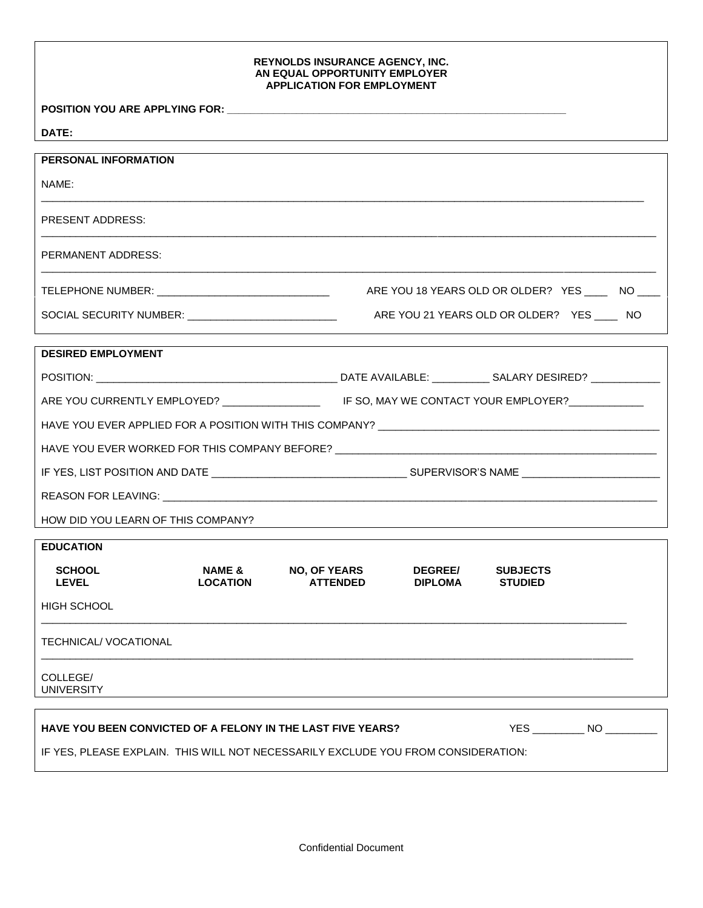## **REYNOLDS INSURANCE AGENCY, INC. AN EQUAL OPPORTUNITY EMPLOYER APPLICATION FOR EMPLOYMENT**

POSITION YOU ARE APPLYING FOR: \_\_\_

**DATE:**

| ,,,, <u>.</u>                                               |                           |                                                 |                                  |                                   |                                     |
|-------------------------------------------------------------|---------------------------|-------------------------------------------------|----------------------------------|-----------------------------------|-------------------------------------|
| <b>PERSONAL INFORMATION</b>                                 |                           |                                                 |                                  |                                   |                                     |
| NAME:                                                       |                           |                                                 |                                  |                                   |                                     |
| PRESENT ADDRESS:                                            |                           |                                                 |                                  |                                   |                                     |
| PERMANENT ADDRESS:                                          |                           |                                                 |                                  |                                   |                                     |
|                                                             |                           | ARE YOU 18 YEARS OLD OR OLDER? YES ____ NO ____ |                                  |                                   |                                     |
| SOCIAL SECURITY NUMBER: ______________________________      |                           | ARE YOU 21 YEARS OLD OR OLDER? YES _____ NO     |                                  |                                   |                                     |
| <b>DESIRED EMPLOYMENT</b>                                   |                           |                                                 |                                  |                                   |                                     |
|                                                             |                           |                                                 |                                  |                                   |                                     |
|                                                             |                           |                                                 |                                  |                                   |                                     |
|                                                             |                           |                                                 |                                  |                                   |                                     |
|                                                             |                           |                                                 |                                  |                                   |                                     |
|                                                             |                           |                                                 |                                  |                                   |                                     |
|                                                             |                           |                                                 |                                  |                                   |                                     |
| HOW DID YOU LEARN OF THIS COMPANY?                          |                           |                                                 |                                  |                                   |                                     |
| <b>EDUCATION</b>                                            |                           |                                                 |                                  |                                   |                                     |
| <b>SCHOOL</b><br><b>LEVEL</b>                               | NAME &<br><b>LOCATION</b> | <b>NO, OF YEARS</b><br><b>ATTENDED</b>          | <b>DEGREE/</b><br><b>DIPLOMA</b> | <b>SUBJECTS</b><br><b>STUDIED</b> |                                     |
| HIGH SCHOOL                                                 |                           |                                                 |                                  |                                   |                                     |
| TECHNICAL/ VOCATIONAL                                       |                           |                                                 |                                  |                                   |                                     |
| COLLEGE/<br><b>UNIVERSITY</b>                               |                           |                                                 |                                  |                                   |                                     |
| HAVE YOU BEEN CONVICTED OF A FELONY IN THE LAST FIVE YEARS? |                           |                                                 |                                  |                                   | YES _______________ NO ____________ |

IF YES, PLEASE EXPLAIN. THIS WILL NOT NECESSARILY EXCLUDE YOU FROM CONSIDERATION: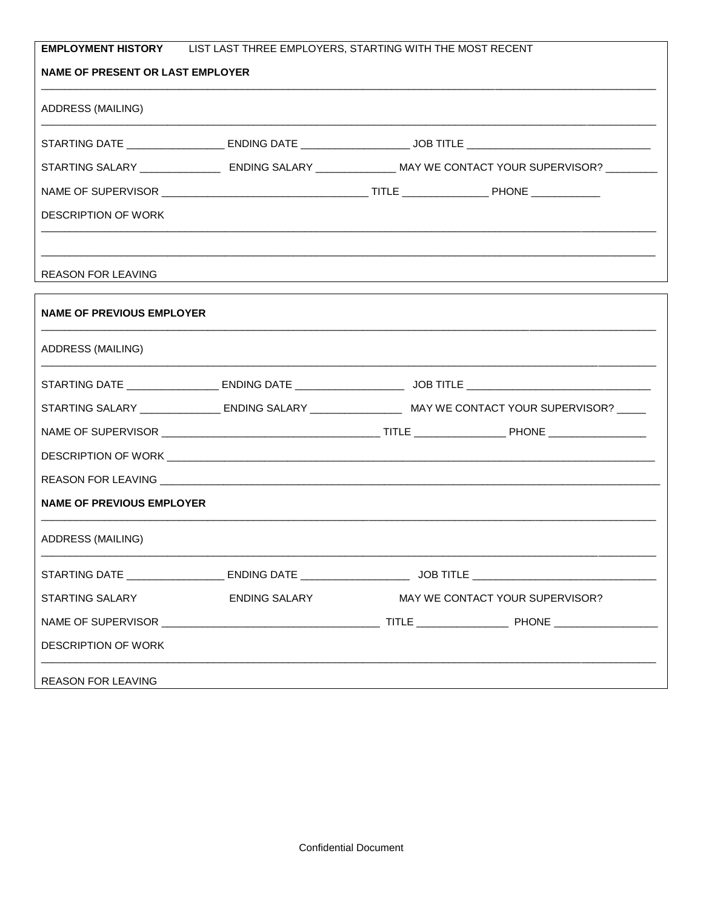| <b>EMPLOYMENT HISTORY</b> LIST LAST THREE EMPLOYERS, STARTING WITH THE MOST RECENT |                      |                                                                                                                  |  |  |
|------------------------------------------------------------------------------------|----------------------|------------------------------------------------------------------------------------------------------------------|--|--|
| <b>NAME OF PRESENT OR LAST EMPLOYER</b>                                            |                      |                                                                                                                  |  |  |
| ADDRESS (MAILING)                                                                  |                      |                                                                                                                  |  |  |
|                                                                                    |                      |                                                                                                                  |  |  |
|                                                                                    |                      | STARTING SALARY ______________________ ENDING SALARY _________________MAY WE CONTACT YOUR SUPERVISOR? ________   |  |  |
|                                                                                    |                      |                                                                                                                  |  |  |
| <b>DESCRIPTION OF WORK</b>                                                         |                      |                                                                                                                  |  |  |
|                                                                                    |                      |                                                                                                                  |  |  |
| <b>REASON FOR LEAVING</b>                                                          |                      |                                                                                                                  |  |  |
| <b>NAME OF PREVIOUS EMPLOYER</b>                                                   |                      |                                                                                                                  |  |  |
| ADDRESS (MAILING)                                                                  |                      |                                                                                                                  |  |  |
|                                                                                    |                      |                                                                                                                  |  |  |
|                                                                                    |                      | STARTING SALARY ____________________ ENDING SALARY ________________________MAY WE CONTACT YOUR SUPERVISOR? _____ |  |  |
|                                                                                    |                      |                                                                                                                  |  |  |
|                                                                                    |                      |                                                                                                                  |  |  |
|                                                                                    |                      |                                                                                                                  |  |  |
| <b>NAME OF PREVIOUS EMPLOYER</b>                                                   |                      |                                                                                                                  |  |  |
| ADDRESS (MAILING)                                                                  |                      |                                                                                                                  |  |  |
|                                                                                    |                      |                                                                                                                  |  |  |
| STARTING SALARY                                                                    | <b>ENDING SALARY</b> | MAY WE CONTACT YOUR SUPERVISOR?                                                                                  |  |  |
|                                                                                    |                      |                                                                                                                  |  |  |
| <b>DESCRIPTION OF WORK</b>                                                         |                      |                                                                                                                  |  |  |
| <b>REASON FOR LEAVING</b>                                                          |                      |                                                                                                                  |  |  |